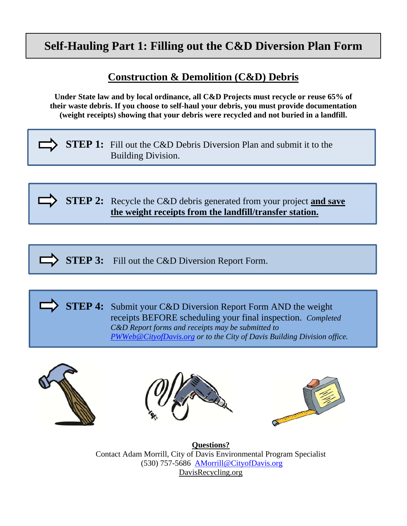# **Self-Hauling Part 1: Filling out the C&D Diversion Plan Form**

## **Construction & Demolition (C&D) Debris**

**Under State law and by local ordinance, all C&D Projects must recycle or reuse 65% of their waste debris. If you choose to self-haul your debris, you must provide documentation (weight receipts) showing that your debris were recycled and not buried in a landfill.**

**STEP 1:** Fill out the C&D Debris Diversion Plan and submit it to the Building Division.

**STEP 2:** Recycle the C&D debris generated from your project **and save the weight receipts from the landfill/transfer station.** 

**STEP 3:** Fill out the C&D Diversion Report Form.

**STEP 4:** Submit your C&D Diversion Report Form AND the weight receipts BEFORE scheduling your final inspection.*Completed C&D Report forms and receipts may be submitted to PWWeb@CityofDavis.org or to the City of Davis Building Division office.* 







**Questions?**  Contact Adam Morrill, City of Davis Environmental Program Specialist (530) 757-5686 AMorrill@CityofDavis.org DavisRecycling.org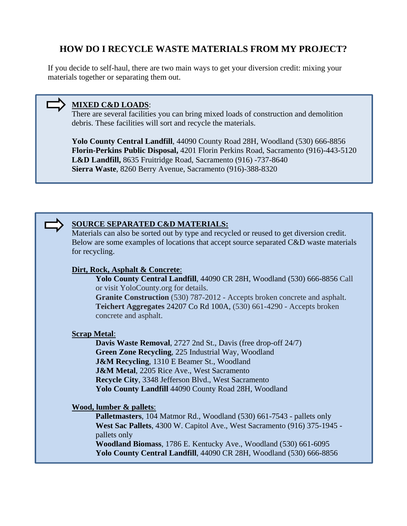### **HOW DO I RECYCLE WASTE MATERIALS FROM MY PROJECT?**

If you decide to self-haul, there are two main ways to get your diversion credit: mixing your materials together or separating them out.

#### **MIXED C&D LOADS**:

There are several facilities you can bring mixed loads of construction and demolition debris. These facilities will sort and recycle the materials.

**Yolo County Central Landfill**, 44090 County Road 28H, Woodland (530) 666-8856 **Florin-Perkins Public Disposal,** 4201 Florin Perkins Road, Sacramento (916)-443-5120 **L&D Landfill,** 8635 Fruitridge Road, Sacramento (916) -737-8640 **Sierra Waste**, 8260 Berry Avenue, Sacramento (916)-388-8320



#### **SOURCE SEPARATED C&D MATERIALS:**

Materials can also be sorted out by type and recycled or reused to get diversion credit. Below are some examples of locations that accept source separated C&D waste materials for recycling.

#### **Dirt, Rock, Asphalt & Concrete**:

**Yolo County Central Landfill**, 44090 CR 28H, Woodland (530) 666-8856 Call or visit YoloCounty.org for details. **Granite Construction** (530) 787-2012 - Accepts broken concrete and asphalt. **Teichert Aggregates** 24207 Co Rd 100A, (530) 661-4290 - Accepts broken concrete and asphalt.

#### **Scrap Metal**:

**Davis Waste Removal**, 2727 2nd St., Davis (free drop-off 24/7) **Green Zone Recycling**, 225 Industrial Way, Woodland **J&M Recycling**, 1310 E Beamer St., Woodland **J&M Metal**, 2205 Rice Ave., West Sacramento **Recycle City**, 3348 Jefferson Blvd., West Sacramento **Yolo County Landfill** 44090 County Road 28H, Woodland

#### **Wood, lumber & pallets**:

**Palletmasters**, 104 Matmor Rd., Woodland (530) 661-7543 - pallets only **West Sac Pallets**, 4300 W. Capitol Ave., West Sacramento (916) 375-1945 pallets only **Woodland Biomass**, 1786 E. Kentucky Ave., Woodland (530) 661-6095 **Yolo County Central Landfill**, 44090 CR 28H, Woodland (530) 666-8856